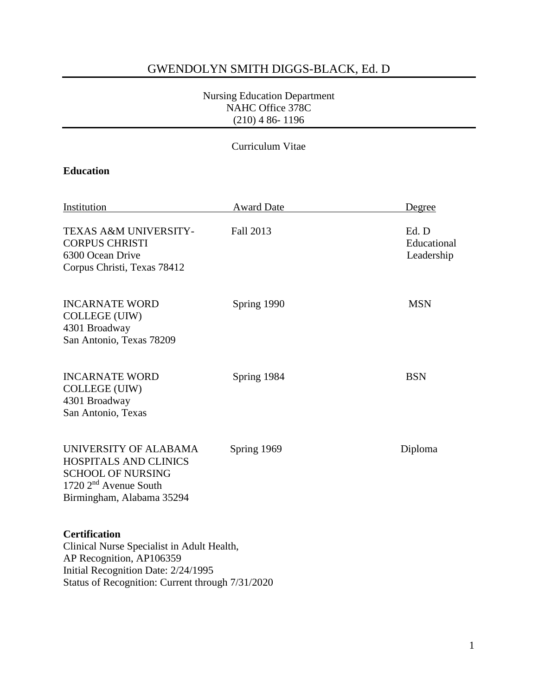# GWENDOLYN SMITH DIGGS-BLACK, Ed. D

#### Nursing Education Department NAHC Office 378C (210) 4 86- 1196

### Curriculum Vitae

# **Education**

| Institution                                                                                                                                                                               | <b>Award Date</b> | Degree                             |
|-------------------------------------------------------------------------------------------------------------------------------------------------------------------------------------------|-------------------|------------------------------------|
| TEXAS A&M UNIVERSITY-<br><b>CORPUS CHRISTI</b><br>6300 Ocean Drive<br>Corpus Christi, Texas 78412                                                                                         | Fall 2013         | Ed. D<br>Educational<br>Leadership |
| <b>INCARNATE WORD</b><br>COLLEGE (UIW)<br>4301 Broadway<br>San Antonio, Texas 78209                                                                                                       | Spring 1990       | <b>MSN</b>                         |
| <b>INCARNATE WORD</b><br><b>COLLEGE (UIW)</b><br>4301 Broadway<br>San Antonio, Texas                                                                                                      | Spring 1984       | <b>BSN</b>                         |
| UNIVERSITY OF ALABAMA<br>HOSPITALS AND CLINICS<br><b>SCHOOL OF NURSING</b><br>1720 2 <sup>nd</sup> Avenue South<br>Birmingham, Alabama 35294                                              | Spring 1969       | Diploma                            |
| <b>Certification</b><br>Clinical Nurse Specialist in Adult Health,<br>AP Recognition, AP106359<br>Initial Recognition Date: 2/24/1995<br>Status of Recognition: Current through 7/31/2020 |                   |                                    |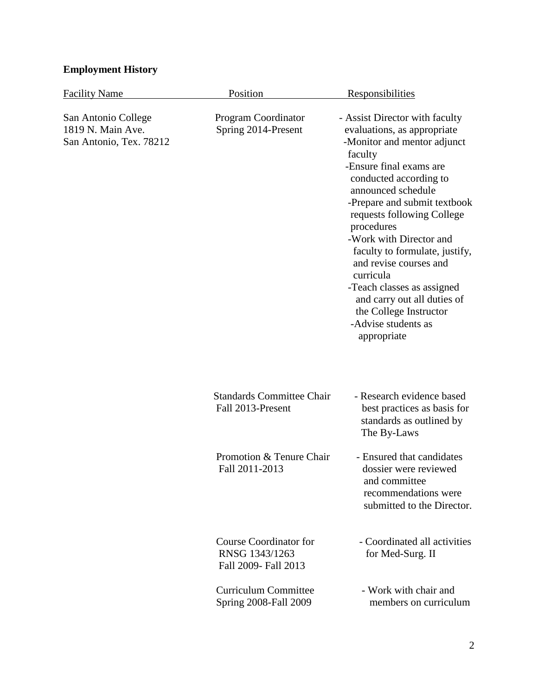# **Employment History**

| <b>Facility Name</b>                                                | Position                                                                | <u>Responsibilities</u>                                                                                                                                                                                                                                                                                                                                                                                                                                                                         |
|---------------------------------------------------------------------|-------------------------------------------------------------------------|-------------------------------------------------------------------------------------------------------------------------------------------------------------------------------------------------------------------------------------------------------------------------------------------------------------------------------------------------------------------------------------------------------------------------------------------------------------------------------------------------|
| San Antonio College<br>1819 N. Main Ave.<br>San Antonio, Tex. 78212 | Program Coordinator<br>Spring 2014-Present                              | - Assist Director with faculty<br>evaluations, as appropriate<br>-Monitor and mentor adjunct<br>faculty<br>-Ensure final exams are<br>conducted according to<br>announced schedule<br>-Prepare and submit textbook<br>requests following College<br>procedures<br>-Work with Director and<br>faculty to formulate, justify,<br>and revise courses and<br>curricula<br>-Teach classes as assigned<br>and carry out all duties of<br>the College Instructor<br>-Advise students as<br>appropriate |
|                                                                     | <b>Standards Committee Chair</b><br>Fall 2013-Present                   | - Research evidence based<br>best practices as basis for<br>standards as outlined by<br>The By-Laws                                                                                                                                                                                                                                                                                                                                                                                             |
|                                                                     | Promotion & Tenure Chair<br>Fall 2011-2013                              | - Ensured that candidates<br>dossier were reviewed<br>and committee<br>recommendations were<br>submitted to the Director.                                                                                                                                                                                                                                                                                                                                                                       |
|                                                                     | <b>Course Coordinator for</b><br>RNSG 1343/1263<br>Fall 2009- Fall 2013 | - Coordinated all activities<br>for Med-Surg. II                                                                                                                                                                                                                                                                                                                                                                                                                                                |
|                                                                     | <b>Curriculum Committee</b><br>Spring 2008-Fall 2009                    | - Work with chair and<br>members on curriculum                                                                                                                                                                                                                                                                                                                                                                                                                                                  |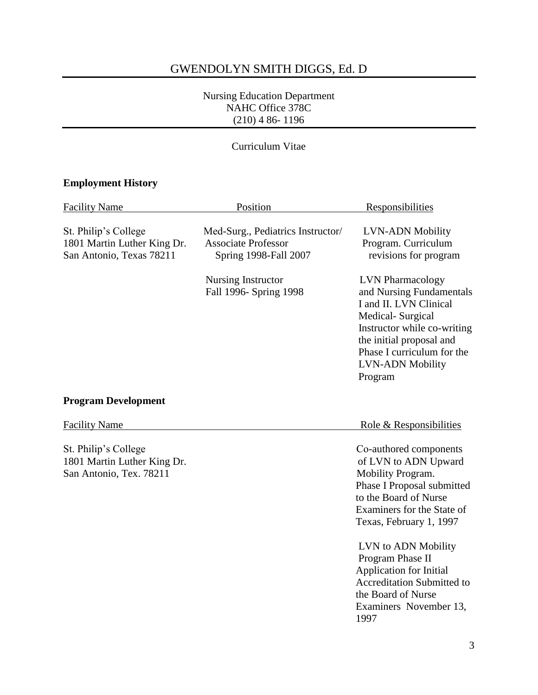# GWENDOLYN SMITH DIGGS, Ed. D

#### Nursing Education Department NAHC Office 378C (210) 4 86- 1196

## Curriculum Vitae

# **Employment History**

| <b>Facility Name</b>                                                            | Position                                                                                 | Responsibilities                                                                                                                                                                                                                 |
|---------------------------------------------------------------------------------|------------------------------------------------------------------------------------------|----------------------------------------------------------------------------------------------------------------------------------------------------------------------------------------------------------------------------------|
| St. Philip's College<br>1801 Martin Luther King Dr.<br>San Antonio, Texas 78211 | Med-Surg., Pediatrics Instructor/<br><b>Associate Professor</b><br>Spring 1998-Fall 2007 | <b>LVN-ADN Mobility</b><br>Program. Curriculum<br>revisions for program                                                                                                                                                          |
|                                                                                 | <b>Nursing Instructor</b><br>Fall 1996- Spring 1998                                      | <b>LVN</b> Pharmacology<br>and Nursing Fundamentals<br>I and II. LVN Clinical<br>Medical-Surgical<br>Instructor while co-writing<br>the initial proposal and<br>Phase I curriculum for the<br><b>LVN-ADN Mobility</b><br>Program |
| <b>Program Development</b>                                                      |                                                                                          |                                                                                                                                                                                                                                  |
| <b>Facility Name</b>                                                            |                                                                                          | Role & Responsibilities                                                                                                                                                                                                          |
| St. Philip's College<br>1801 Martin Luther King Dr.<br>San Antonio, Tex. 78211  |                                                                                          | Co-authored components<br>of LVN to ADN Upward<br>Mobility Program.<br>Phase I Proposal submitted<br>to the Board of Nurse<br>Examiners for the State of<br>Texas, February 1, 1997                                              |
|                                                                                 |                                                                                          | LVN to ADN Mobility<br>Program Phase II<br><b>Application for Initial</b><br><b>Accreditation Submitted to</b><br>the Board of Nurse<br>Examiners November 13,<br>1997                                                           |